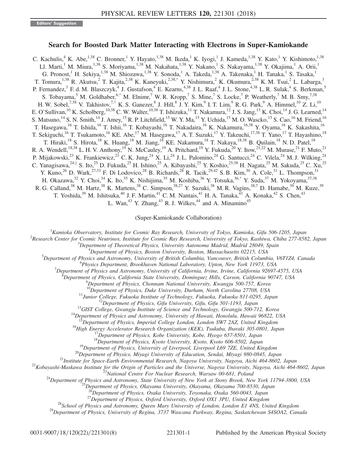## Search for Boosted Dark Matter Interacting with Electrons in Super-Kamiokande

<span id="page-0-1"></span>C. Kachulis,<sup>4</sup> K. Abe,<sup>1,38</sup> C. Bronner,<sup>1</sup> Y. Hayato,<sup>1,38</sup> M. Ikeda,<sup>1</sup> K. Iyogi,<sup>1</sup> J. Kameda,<sup>1,38</sup> Y. Kato,<sup>1</sup> Y. Kishimoto,<sup>1,38</sup> Ll. Marti,<sup>1</sup> M. Miura,<sup>1,38</sup> S. Moriyama,<sup>1,38</sup> M. Nakahata,<sup>1,38</sup> Y. Nakano,<sup>1</sup> S. Nakayama,<sup>1,38</sup> Y. Okajima,<sup>1</sup> A. Orii,<sup>1</sup> G. Pronost,<sup>1</sup> H. Sekiya,<sup>1,38</sup> M. Shiozawa,<sup>1,38</sup> Y. Sonoda,<sup>1</sup> A. Takeda,<sup>1,38</sup> A. Takenaka,<sup>1</sup> H. Tanaka,<sup>1</sup> S. Tasaka,<sup>1</sup> T. Tomura,<sup>1,38</sup> R. Akutsu,<sup>2</sup> T. Kajita,<sup>2,38</sup> K. Kaneyuki,<sup>2,38[,\\*](#page-6-0)</sup> Y. Nishimura,<sup>2</sup> K. Okumura,<sup>2,38</sup> K. M. Tsui,<sup>2</sup> L. Labarga,<sup>3</sup> P. Fernandez,<sup>3</sup> F. d. M. Blaszczyk,<sup>4</sup> J. Gustafson,<sup>4</sup> E. Kearns,<sup>4,38</sup> J. L. Raaf,<sup>4</sup> J. L. Stone,<sup>4,38</sup> L. R. Sulak,<sup>4</sup> S. Berkman,<sup>5</sup> S. Tobayama,<sup>5</sup> M. Goldhaber,<sup>[6,\\*](#page-6-0)</sup> M. Elnimr,<sup>7</sup> W. R. Kropp,<sup>7</sup> S. Mine,<sup>7</sup> S. Locke,<sup>7</sup> P. Weatherly,<sup>7</sup> M. B. Smy,<sup>7,38</sup> H. W. Sobel,<sup>7,38</sup> V. Takhistov,<sup>7,[†](#page-6-1)</sup> K. S. Ganezer,<sup>8</sup> J. Hill,<sup>8</sup> J. Y. Kim,<sup>9</sup> I. T. Lim,<sup>9</sup> R. G. Park,<sup>9</sup> A. Himmel,<sup>10</sup> Z. Li,<sup>10</sup> E. O'Sullivan,<sup>10</sup> K. Scholberg,<sup>10,38</sup> C. W. Walter,<sup>10,38</sup> T. Ishizuka,<sup>11</sup> T. Nakamura,<sup>12</sup> J. S. Jang,<sup>13</sup> K. Choi,<sup>14</sup> J. G. Learned,<sup>14</sup> S. Matsuno,  $^{14}$  S. N. Smith,  $^{14}$  J. Amey,  $^{15}$  R. P. Litchfield,  $^{15}$  W. Y. Ma,  $^{15}$  Y. Uchida,  $^{15}$  M. O. Wascko,  $^{15}$  S. Cao,  $^{16}$  M. Friend,  $^{16}$ T. Hasegawa,<sup>16</sup> T. Ishida,<sup>16</sup> T. Ishii,<sup>16</sup> T. Kobayashi,<sup>16</sup> T. Nakadaira,<sup>16</sup> K. Nakamura,<sup>16,38</sup> Y. Oyama,<sup>16</sup> K. Sakashita,<sup>16</sup> T. Sekiguchi,<sup>16</sup> T. Tsukamoto,<sup>16</sup> KE. Abe,<sup>17</sup> M. Hasegawa,<sup>17</sup> A. T. Suzuki,<sup>17</sup> Y. Takeuchi,<sup>17,38</sup> T. Yano,<sup>17</sup> T. Hayashino,<sup>18</sup> T. Hiraki,<sup>18</sup> S. Hirota,<sup>18</sup> K. Huang,<sup>18</sup> M. Jiang,<sup>18</sup> KE. Nakamura,<sup>18</sup> T. Nakaya,<sup>18,38</sup> B. Quilain,<sup>18</sup> N. D. Patel,<sup>18</sup> R. A. Wendell,<sup>18,38</sup> L. H. V. Anthony,<sup>19</sup> N. McCauley,<sup>19</sup> A. Pritchard,<sup>19</sup> Y. Fukuda,<sup>20</sup> Y. Itow,<sup>21,22</sup> M. Murase,<sup>21</sup> F. Muto,<sup>21</sup> P. Mijakowski,<sup>23</sup> K. Frankiewicz,<sup>23</sup> C. K. Jung,<sup>24</sup> X. Li,<sup>24</sup> J. L. Palomino,<sup>24</sup> G. Santucci,<sup>24</sup> C. Vilela,<sup>24</sup> M. J. Wilking,<sup>24</sup> C. Yanagisawa,<sup>24,[‡](#page-6-2)</sup> S. Ito,<sup>25</sup> D. Fukuda,<sup>25</sup> H. Ishino,<sup>25</sup> A. Kibayashi,<sup>25</sup> Y. Koshio,<sup>25,38</sup> H. Nagata,<sup>25</sup> M. Sakuda,<sup>25</sup> C. Xu,<sup>25</sup> Y. Kuno,<sup>26</sup> D. Wark,<sup>27,33</sup> F. Di Lodovico,<sup>28</sup> B. Richards,<sup>28</sup> R. Tacik,<sup>29,42</sup> S. B. Kim,<sup>30</sup> A. Cole,<sup>31</sup> L. Thompson,<sup>31</sup> H. Okazawa,<sup>32</sup> Y. Choi,<sup>34</sup> K. Ito,<sup>35</sup> K. Nishijima,<sup>35</sup> M. Koshiba,<sup>36</sup> Y. Totsuka,<sup>3[6,\\*](#page-6-0)</sup> Y. Suda,<sup>37</sup> M. Yokoyama,<sup>37,38</sup> R. G. Calland,<sup>38</sup> M. Hartz,<sup>38</sup> K. Martens,<sup>38</sup> C. Simpson,<sup>38,27</sup> Y. Suzuki,<sup>38</sup> M. R. Vagins,<sup>38,7</sup> D. Hamabe,<sup>39</sup> M. Kuze,<sup>39</sup> T. Yoshida,<sup>39</sup> M. Ishitsuka,<sup>40</sup> J. F. Martin,<sup>41</sup> C. M. Nantais,<sup>41</sup> H. A. Tanaka,<sup>41</sup> A. Konaka,<sup>42</sup> S. Chen,<sup>43</sup> L. Wan,  $43$  Y. Zhang,  $43$  R. J. Wilkes,  $44$  and A. Minamino  $45$ 

(Super-Kamiokande Collaboration)

<span id="page-0-2"></span><span id="page-0-0"></span><sup>1</sup> Kamioka Observatory, Institute for Cosmic Ray Research, University of Tokyo, Kamioka, Gifu 506-1205, Japan <sup>2</sup> Bessamb Conten for Cosmic Neutrines, Institute for Cosmic Bay Bessamb University of Tokyo, Kaping Chiba 277

<sup>2</sup>Research Center for Cosmic Neutrinos, Institute for Cosmic Ray Research, University of Tokyo, Kashiwa, Chiba 277-8582, Japan

 $3$ Department of Theoretical Physics, University Autonoma Madrid, Madrid 28049, Spain

 ${}^{4}$ Department of Physics, Boston University, Boston, Massachusetts 02215, USA

 $^5$ Department of Physics and Astronomy, University of British Columbia, Vancouver, British Columbia, V6T1Z4, Canada

<sup>6</sup>Physics Department, Brookhaven National Laboratory, Upton, New York 11973, USA

 $^7$ Department of Physics and Astronomy, University of California, Irvine, Irvine, California 92697-4575, USA

Department of Physics, California State University, Dominguez Hills, Carson, California 90747, USA <sup>9</sup>

 $^{9}$ Department of Physics, Chonnam National University, Kwangju 500-757, Korea

<sup>10</sup>Department of Physics, Duke University, Durham, North Carolina 27708, USA<br>
<sup>11</sup>Junior College, Fukuoka Institute of Technology, Fukuoka, Fukuoka 811-0295, Japan<br>
<sup>12</sup>Department of Physics (iffu University, Gifu, Gifu

<sup>26</sup>Department of Physics, Osaka University, Toyonaka, Osaka 560-0043, Japan<br><sup>27</sup>Department of Physics, Oxford University, Oxford OX1 3PU, United Kingdom<br><sup>28</sup>School of Physics and Astronomy, Queen Mary University of London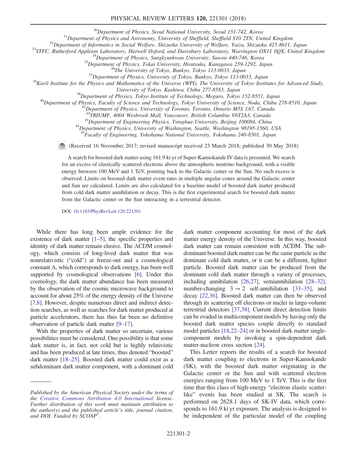<sup>30</sup>Department of Physics, Seoul National University, Seoul 151-742, Korea<br><sup>31</sup>Department of Physics and Astronomy, University of Sheffield, Sheffield S10 2TN, United Kingdom<br><sup>32</sup>Department of Informatics in Social Welfar

<sup>39</sup>Department of Physics, Tokyo Institute of Technology, Meguro, Tokyo 152-8551, Japan<br><sup>40</sup>Department of Physics, Faculty of Science and Technology, Tokyo University of Science, Noda, Chiba 278-8510, Japan<br><sup>41</sup>Department

 $^{43}$ Department of Engineering Physics, Tsinghua University, Beijing 100084, China<br> $^{44}$ Department of Physics, University of Washington, Seattle, Washington 98195-1560, USA

<sup>45</sup>Faculty of Engineering, Yokohama National University, Yokohama 240-8501, Japan

(Received 16 November 2017; revised manuscript received 23 March 2018; published 30 May 2018)

A search for boosted dark matter using 161.9 kt yr of Super-Kamiokande IV data is presented. We search for an excess of elastically scattered electrons above the atmospheric neutrino background, with a visible energy between 100 MeV and 1 TeV, pointing back to the Galactic center or the Sun. No such excess is observed. Limits on boosted dark matter event rates in multiple angular cones around the Galactic center and Sun are calculated. Limits are also calculated for a baseline model of boosted dark matter produced from cold dark matter annihilation or decay. This is the first experimental search for boosted dark matter from the Galactic center or the Sun interacting in a terrestrial detector.

DOI: [10.1103/PhysRevLett.120.221301](https://doi.org/10.1103/PhysRevLett.120.221301)

While there has long been ample evidence for the existence of dark matter [1–[5\],](#page-6-3) the specific properties and identity of dark matter remain elusive. The ΛCDM cosmology, which consists of long-lived dark matter that was nonrelativistic ("cold") at freeze-out and a cosmological constant  $\Lambda$ , which corresponds to dark energy, has been well supported by cosmological observations [\[6\].](#page-6-4) Under this cosmology, the dark matter abundance has been measured by the observation of the cosmic microwave background to account for about 25% of the energy density of the Universe [\[7,8\]](#page-6-5). However, despite numerous direct and indirect detection searches, as well as searches for dark matter produced at particle accelerators, there has thus far been no definitive observation of particle dark matter [9–[17\].](#page-6-6)

With the properties of dark matter so uncertain, various possibilities must be considered. One possibility is that some dark matter is, in fact, not cold but is highly relativistic and has been produced at late times, thus denoted "boosted" dark matter [18–[25\].](#page-6-7) Boosted dark matter could exist as a subdominant dark matter component, with a dominant cold dark matter component accounting for most of the dark matter energy density of the Universe. In this way, boosted dark matter can remain consistent with ΛCDM. The subdominant boosted dark matter can be the same particle as the dominant cold dark matter, or it can be a different, lighter particle. Boosted dark matter can be produced from the dominant cold dark matter through a variety of processes, including annihilation [\[26,27\]](#page-6-8), semiannihilation [\[28](#page-6-9)–32], number-changing  $3 \rightarrow 2$  self-annihilation [33–[35\],](#page-6-10) and decay [\[22,36\].](#page-6-11) Boosted dark matter can then be observed through its scattering off electrons or nuclei in large-volume terrestrial detectors [\[37,38\]](#page-6-12). Current direct detection limits can be evaded in multicomponent models by having only the boosted dark matter species couple directly to standard model particles [\[18,22](#page-6-7)–24] or in boosted dark matter singlecomponent models by invoking a spin-dependent dark matter-nucleon cross section [\[24\]](#page-6-13).

This Letter reports the results of a search for boosted dark matter coupling to electrons in Super-Kamiokande (SK), with the boosted dark matter originating in the Galactic center or the Sun and with scattered electron energies ranging from 100 MeV to 1 TeV. This is the first time that this class of high-energy "electron elastic scatterlike" events has been studied at SK. The search is performed on 2628.1 days of SK-IV data, which corresponds to 161.9 kt yr exposure. The analysis is designed to be independent of the particular model of the coupling

Published by the American Physical Society under the terms of the [Creative Commons Attribution 4.0 International](https://creativecommons.org/licenses/by/4.0/) license. Further distribution of this work must maintain attribution to the author(s) and the published article's title, journal citation, and DOI. Funded by SCOAP<sup>3</sup>.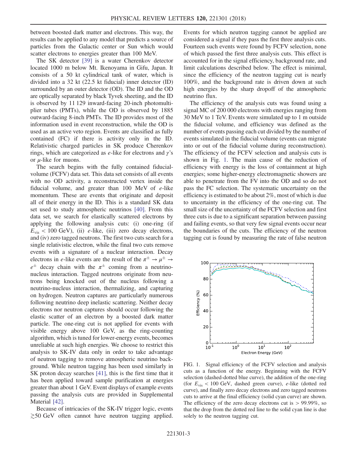between boosted dark matter and electrons. This way, the results can be applied to any model that predicts a source of particles from the Galactic center or Sun which would scatter electrons to energies greater than 100 MeV.

The SK detector [\[39\]](#page-6-14) is a water Cherenkov detector located 1000 m below Mt. Ikenoyama in Gifu, Japan. It consists of a 50 kt cylindrical tank of water, which is divided into a 32 kt (22.5 kt fiducial) inner detector (ID) surrounded by an outer detector (OD). The ID and the OD are optically separated by black Tyvek sheeting, and the ID is observed by 11 129 inward-facing 20-inch photomultiplier tubes (PMTs), while the OD is observed by 1885 outward-facing 8-inch PMTs. The ID provides most of the information used in event reconstruction, while the OD is used as an active veto region. Events are classified as fully contained (FC) if there is activity only in the ID. Relativistic charged particles in SK produce Cherenkov rings, which are categorized as  $e$ -like for electrons and  $\gamma$ 's or  $\mu$ -like for muons.

The search begins with the fully contained fiducialvolume (FCFV) data set. This data set consists of all events with no OD activity, a reconstructed vertex inside the fiducial volume, and greater than  $100$  MeV of  $e$ -like momentum. These are events that originate and deposit all of their energy in the ID. This is a standard SK data set used to study atmospheric neutrinos [\[40\].](#page-6-15) From this data set, we search for elastically scattered electrons by applying the following analysis cuts: (i) one-ring (if  $E_{\text{vis}}$  < 100 GeV), (ii) *e*-like, (iii) zero decay electrons, and (iv) zero tagged neutrons. The first two cuts search for a single relativistic electron, while the final two cuts remove events with a signature of a nuclear interaction. Decay electrons in e-like events are the result of the  $\pi^{\pm} \rightarrow \mu^{\pm} \rightarrow$  $e^{\pm}$  decay chain with the  $\pi^{\pm}$  coming from a neutrinonucleus interaction. Tagged neutrons originate from neutrons being knocked out of the nucleus following a neutrino-nucleus interaction, thermalizing, and capturing on hydrogen. Neutron captures are particularly numerous following neutrino deep inelastic scattering. Neither decay electrons nor neutron captures should occur following the elastic scatter of an electron by a boosted dark matter particle. The one-ring cut is not applied for events with visible energy above 100 GeV, as the ring-counting algorithm, which is tuned for lower-energy events, becomes unreliable at such high energies. We choose to restrict this analysis to SK-IV data only in order to take advantage of neutron tagging to remove atmospheric neutrino background. While neutron tagging has been used similarly in SK proton decay searches [\[41\],](#page-6-16) this is the first time that it has been applied toward sample purification at energies greater than about 1 GeV. Event displays of example events passing the analysis cuts are provided in Supplemental Material [\[42\].](#page-6-17)

Because of intricacies of the SK-IV trigger logic, events ≳50 GeV often cannot have neutron tagging applied. Events for which neutron tagging cannot be applied are considered a signal if they pass the first three analysis cuts. Fourteen such events were found by FCFV selection, none of which passed the first three analysis cuts. This effect is accounted for in the signal efficiency, background rate, and limit calculations described below. The effect is minimal, since the efficiency of the neutron tagging cut is nearly 100%, and the background rate is driven down at such high energies by the sharp dropoff of the atmospheric neutrino flux.

The efficiency of the analysis cuts was found using a signal MC of 200 000 electrons with energies ranging from 30 MeV to 1 TeV. Events were simulated up to 1 m outside the fiducial volume, and efficiency was defined as the number of events passing each cut divided by the number of events simulated in the fiducial volume (events can migrate into or out of the fiducial volume during reconstruction). The efficiency of the FCFV selection and analysis cuts is shown in Fig. [1.](#page-2-0) The main cause of the reduction of efficiency with energy is the loss of containment at high energies; some higher-energy electromagnetic showers are able to penetrate from the FV into the OD and so do not pass the FC selection. The systematic uncertainty on the efficiency is estimated to be about 2%, most of which is due to uncertainty in the efficiency of the one-ring cut. The small size of the uncertainty of the FCFV selection and first three cuts is due to a significant separation between passing and failing events, so that very few signal events occur near the boundaries of the cuts. The efficiency of the neutron tagging cut is found by measuring the rate of false neutron

<span id="page-2-0"></span>

FIG. 1. Signal efficiency of the FCFV selection and analysis cuts as a function of the energy. Beginning with the FCFV selection (dashed-dotted blue curve), the addition of the one-ring (for  $E_{\text{vis}}$  < 100 GeV, dashed green curve), e-like (dotted red curve), and finally zero decay electrons and zero tagged neutrons cuts to arrive at the final efficiency (solid cyan curve) are shown. The efficiency of the zero decay electrons cut is  $> 99.99\%$ , so that the drop from the dotted red line to the solid cyan line is due solely to the neutron tagging cut.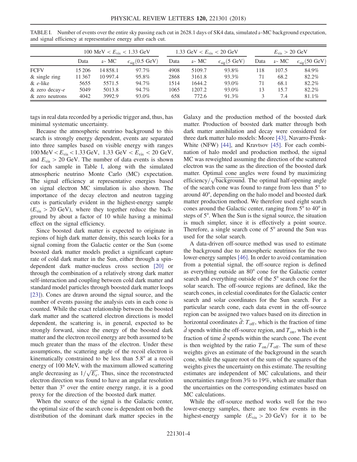|                  | 100 MeV $< E_{\rm vis} < 1.33$ GeV |            |                                     |      | 1.33 GeV $\lt E_{\text{vis}}$ $\lt 20$ GeV |                              | $E_{\rm vis} > 20~{\rm GeV}$ |            |                               |
|------------------|------------------------------------|------------|-------------------------------------|------|--------------------------------------------|------------------------------|------------------------------|------------|-------------------------------|
|                  | Data                               | $\nu$ - MC | $\epsilon_{\rm sig}(0.5~{\rm GeV})$ | Data | $\nu$ - MC                                 | $\epsilon_{\rm sig}$ (5 GeV) | Data                         | $\nu$ - MC | $\epsilon_{\rm sig}$ (50 GeV) |
| <b>FCFV</b>      | 15 20 6                            | 14858.1    | 97.7%                               | 4908 | 5109.7                                     | 93.8%                        | 118                          | 107.5      | 84.9%                         |
| $&$ single ring  | 11 367                             | 10 997.4   | 95.8%                               | 2868 | 3161.8                                     | 93.3%                        | 71                           | 68.2       | 82.2%                         |
| $\&$ e-like      | 5655                               | 5571.5     | 94.7%                               | 1514 | 1644.2                                     | 93.0%                        | 71                           | 68.1       | 82.2%                         |
| $&$ zero decay-e | 5049                               | 5013.8     | 94.7%                               | 1065 | 1207.2                                     | 93.0%                        | 13                           | 15.7       | 82.2%                         |
| & zero neutrons  | 4042                               | 3992.9     | 93.0%                               | 658  | 772.6                                      | 91.3%                        |                              | 7.4        | 81.1%                         |

<span id="page-3-0"></span>TABLE I. Number of events over the entire sky passing each cut in 2628.1 days of SK4 data, simulated ν-MC background expectation, and signal efficiency at representative energy after each cut.

tags in real data recorded by a periodic trigger and, thus, has minimal systematic uncertainty.

Because the atmospheric neutrino background to this search is strongly energy dependent, events are separated into three samples based on visible energy with ranges  $100 \text{ MeV} < E_{\text{vis}} < 1.33 \text{ GeV}, 1.33 \text{ GeV} < E_{\text{vis}} < 20 \text{ GeV},$ and  $E_{\text{vis}} > 20$  GeV. The number of data events is shown for each sample in Table [I](#page-3-0), along with the simulated atmospheric neutrino Monte Carlo (MC) expectation. The signal efficiency at representative energies based on signal electron MC simulation is also shown. The importance of the decay electron and neutron tagging cuts is particularly evident in the highest-energy sample  $(E_{\text{vis}} > 20 \text{ GeV})$ , where they together reduce the background by about a factor of 10 while having a minimal effect on the signal efficiency.

Since boosted dark matter is expected to originate in regions of high dark matter density, this search looks for a signal coming from the Galactic center or the Sun (some boosted dark matter models predict a significant capture rate of cold dark matter in the Sun, either through a spindependent dark matter-nucleus cross section [\[20\]](#page-6-18) or through the combination of a relatively strong dark matter self-interaction and coupling between cold dark matter and standard model particles through boosted dark matter loops [\[23\]](#page-6-19)). Cones are drawn around the signal source, and the number of events passing the analysis cuts in each cone is counted. While the exact relationship between the boosted dark matter and the scattered electron directions is model dependent, the scattering is, in general, expected to be strongly forward, since the energy of the boosted dark matter and the electron recoil energy are both assumed to be much greater than the mass of the electron. Under these assumptions, the scattering angle of the recoil electron is kinematically constrained to be less than 5.8° at a recoil energy of 100 MeV, with the maximum allowed scattering angle decreasing as  $1/\sqrt{E_e}$ . Thus, since the reconstructed electron direction was found to have an angular resolution better than 3° over the entire energy range, it is a good proxy for the direction of the boosted dark matter.

When the source of the signal is the Galactic center, the optimal size of the search cone is dependent on both the distribution of the dominant dark matter species in the Galaxy and the production method of the boosted dark matter. Production of boosted dark matter through both dark matter annihilation and decay were considered for three dark matter halo models: Moore [\[43\]](#page-7-0), Navarro-Frenk-White (NFW) [\[44\]](#page-7-1), and Kravtsov [\[45\].](#page-7-2) For each combination of halo model and production method, the signal MC was reweighted assuming the direction of the scattered electron was the same as the direction of the boosted dark matter. Optimal cone angles were found by maximizing efficiency/ $\sqrt{\text{background}}$ . The optimal half-opening angle of the search cone was found to range from less than 5° to around 40°, depending on the halo model and boosted dark matter production method. We therefore used eight search cones around the Galactic center, ranging from 5° to 40° in steps of 5°. When the Sun is the signal source, the situation is much simpler, since it is effectively a point source. Therefore, a single search cone of 5° around the Sun was used for the solar search.

A data-driven off-source method was used to estimate the background due to atmospheric neutrinos for the two lower-energy samples [\[46\]](#page-7-3). In order to avoid contamination from a potential signal, the off-source region is defined as everything outside an 80° cone for the Galactic center search and everything outside of the 5° search cone for the solar search. The off-source regions are defined, like the search cones, in celestial coordinates for the Galactic center search and solar coordinates for the Sun search. For a particular search cone, each data event in the off-source region can be assigned two values based on its direction in horizontal coordinates  $\hat{d}$ :  $T_{\text{off}}$ , which is the fraction of time  $\hat{d}$  spends within the off-source region, and  $T_{\text{on}}$ , which is the fraction of time  $\hat{d}$  spends within the search cone. The event is then weighted by the ratio  $T_{on}/T_{off}$ . The sum of these weights gives an estimate of the background in the search cone, while the square root of the sum of the squares of the weights gives the uncertainty on this estimate. The resulting estimates are independent of MC calculations, and their uncertainties range from 3% to 19%, which are smaller than the uncertainties on the corresponding estimates based on MC calculations.

While the off-source method works well for the two lower-energy samples, there are too few events in the highest-energy sample  $(E_{vis} > 20 \text{ GeV})$  for it to be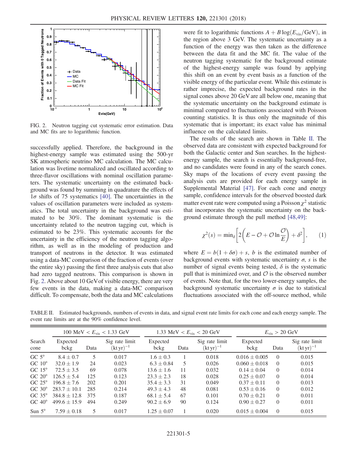<span id="page-4-0"></span>

FIG. 2. Neutron tagging cut systematic error estimation. Data and MC fits are to logarithmic function.

successfully applied. Therefore, the background in the highest-energy sample was estimated using the 500-yr SK atmospheric neutrino MC calculation. The MC calculation was livetime normalized and oscillated according to three-flavor oscillations with nominal oscillation parameters. The systematic uncertainty on the estimated background was found by summing in quadrature the effects of  $1\sigma$  shifts of 75 systematics [\[40\].](#page-6-15) The uncertainties in the values of oscillation parameters were included as systematics. The total uncertainty in the background was estimated to be 30%. The dominant systematic is the uncertainty related to the neutron tagging cut, which is estimated to be 23%. This systematic accounts for the uncertainty in the efficiency of the neutron tagging algorithm, as well as in the modeling of production and transport of neutrons in the detector. It was estimated using a data-MC comparison of the fraction of events (over the entire sky) passing the first three analysis cuts that also had zero tagged neutrons. This comparison is shown in Fig. [2.](#page-4-0) Above about 10 GeVof visible energy, there are very few events in the data, making a data-MC comparison difficult. To compensate, both the data and MC calculations were fit to logarithmic functions  $A + B \log(E_{\text{vis}}/GeV)$ , in the region above 3 GeV. The systematic uncertainty as a function of the energy was then taken as the difference between the data fit and the MC fit. The value of the neutron tagging systematic for the background estimate of the highest-energy sample was found by applying this shift on an event by event basis as a function of the visible energy of the particular event. While this estimate is rather imprecise, the expected background rates in the signal cones above 20 GeV are all below one, meaning that the systematic uncertainty on the background estimate is minimal compared to fluctuations associated with Poisson counting statistics. It is thus only the magnitude of this systematic that is important; its exact value has minimal influence on the calculated limits.

The results of the search are shown in Table [II](#page-4-1). The observed data are consistent with expected background for both the Galactic center and Sun searches. In the highestenergy sample, the search is essentially background-free, and no candidates were found in any of the search cones. Sky maps of the locations of every event passing the analysis cuts are provided for each energy sample in Supplemental Material [\[47\].](#page-7-4) For each cone and energy sample, confidence intervals for the observed boosted dark matter event rate were computed using a Poisson  $\chi^2$  statistic that incorporates the systematic uncertainty on the background estimate through the pull method [\[48,49\]:](#page-7-5)

$$
\chi^2(s) = \min_{\delta} \left[ 2\left(E - \mathcal{O} + \mathcal{O}\ln\frac{\mathcal{O}}{E}\right) + \delta^2 \right],\qquad(1)
$$

where  $E = b(1 + \delta \sigma) + s$ , b is the estimated number of background events with systematic uncertainty  $\sigma$ , s is the number of signal events being tested,  $\delta$  is the systematic pull that is minimized over, and  $\mathcal O$  is the observed number of events. Note that, for the two lower-energy samples, the background systematic uncertainty  $\sigma$  is due to statistical fluctuations associated with the off-source method, while

<span id="page-4-1"></span>TABLE II. Estimated backgrounds, numbers of events in data, and signal event rate limits for each cone and each energy sample. The event rate limits are at the 90% confidence level.

|                 | 100 MeV $< E_{\rm vis} < 1.33$ GeV |      |                                                     | 1.33 MeV < $E_{\rm vis}$ < 20 GeV |      |                                                     | $E_{\rm vis} > 20~{\rm GeV}$ |          |                                                     |
|-----------------|------------------------------------|------|-----------------------------------------------------|-----------------------------------|------|-----------------------------------------------------|------------------------------|----------|-----------------------------------------------------|
| Search<br>cone  | Expected<br>bckg                   | Data | Sig rate limit<br>$(\mathrm{kt}\,\mathrm{yr})^{-1}$ | Expected<br>bckg                  | Data | Sig rate limit<br>$(\mathrm{kt}\,\mathrm{yr})^{-1}$ | Expected<br>bckg             | Data     | Sig rate limit<br>$(\mathrm{kt}\,\mathrm{yr})^{-1}$ |
| $GC 5^\circ$    | $8.4 \pm 0.7$                      | 5    | 0.017                                               | $1.6 \pm 0.3$                     |      | 0.018                                               | $0.016 \pm 0.005$            | $\Omega$ | 0.015                                               |
| $GC 10^{\circ}$ | $32.0 \pm 1.9$                     | 24   | 0.023                                               | $6.3 \pm 0.84$                    | 5.   | 0.026                                               | $0.060 \pm 0.018$            | $\Omega$ | 0.015                                               |
| $GC 15^\circ$   | $72.5 \pm 3.5$                     | 69   | 0.078                                               | $13.6 \pm 1.6$                    | 11   | 0.032                                               | $0.14 \pm 0.04$              | $\Omega$ | 0.014                                               |
| $GC 20^\circ$   | $126.5 \pm 5.4$                    | 125  | 0.123                                               | $23.3 + 2.3$                      | 18   | 0.028                                               | $0.25 \pm 0.07$              | $\Omega$ | 0.014                                               |
| $GC 25^\circ$   | $196.8 \pm 7.6$                    | 202  | 0.201                                               | $35.4 \pm 3.3$                    | 31   | 0.049                                               | $0.37 \pm 0.11$              | $\Omega$ | 0.013                                               |
| $GC 30^\circ$   | $283.7 \pm 10.1$                   | 285  | 0.214                                               | $49.3 \pm 4.3$                    | 48   | 0.081                                               | $0.53 \pm 0.16$              | $\Omega$ | 0.012                                               |
| $GC 35^\circ$   | $384.8 \pm 12.8$                   | 375  | 0.187                                               | $68.1 \pm 5.4$                    | 67   | 0.101                                               | $0.70 \pm 0.21$              | $\Omega$ | 0.011                                               |
| $GC 40^\circ$   | $499.6 \pm 15.9$                   | 494  | 0.249                                               | $90.2 \pm 6.9$                    | 90   | 0.124                                               | $0.90 \pm 0.27$              | $\theta$ | 0.011                                               |
| Sun $5^\circ$   | $7.59 \pm 0.18$                    | 5    | 0.017                                               | $1.25 \pm 0.07$                   |      | 0.020                                               | $0.015 \pm 0.004$            | $\Omega$ | 0.015                                               |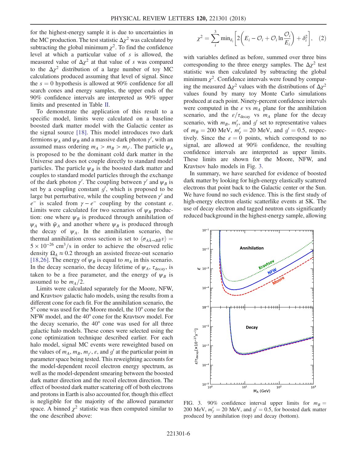for the highest-energy sample it is due to uncertainties in the MC production. The test statistic  $\Delta \chi^2$  was calculated by subtracting the global minimum  $\chi^2$ . To find the confidence level at which a particular value of  $s$  is allowed, the measured value of  $\Delta \chi^2$  at that value of s was compared to the  $\Delta \chi^2$  distribution of a large number of toy MC calculations produced assuming that level of signal. Since the  $s = 0$  hypothesis is allowed at 90% confidence for all search cones and energy samples, the upper ends of the 90% confidence intervals are interpreted as 90% upper limits and presented in Table [II](#page-4-1).

To demonstrate the application of this result to a specific model, limits were calculated on a baseline boosted dark matter model with the Galactic center as the signal source [\[18\].](#page-6-7) This model introduces two dark fermions  $\psi_A$  and  $\psi_B$  and a massive dark photon  $\gamma'$ , with an assumed mass ordering  $m_A > m_B > m_{\gamma}$ . The particle  $\psi_A$ is proposed to be the dominant cold dark matter in the Universe and does not couple directly to standard model particles. The particle  $\psi_B$  is the boosted dark matter and couples to standard model particles through the exchange of the dark photon  $\gamma'$ . The coupling between  $\gamma'$  and  $\psi_B$  is set by a coupling constant  $g'$ , which is proposed to be large but perturbative, while the coupling between  $\gamma'$  and  $e^-$  is scaled from  $\gamma - e^-$  coupling by the constant  $\varepsilon$ . Limits were calculated for two scenarios of  $\psi_B$  production: one where  $\psi_B$  is produced through annihilation of  $\psi_A$  with  $\bar{\psi}_A$  and another where  $\psi_B$  is produced through the decay of  $\psi_A$ . In the annihilation scenario, the thermal annihilation cross section is set to  $\langle \sigma_{A\bar{A} \rightarrow B\bar{B}} v \rangle =$  $5 \times 10^{-26}$  cm<sup>3</sup>/s in order to achieve the observed relic density  $\Omega_A \approx 0.2$  through an assisted freeze-out scenario [\[18,26\]](#page-6-7). The energy of  $\psi_B$  is equal to  $m_A$  in this scenario. In the decay scenario, the decay lifetime of  $\psi_A$ ,  $\tau_{\text{decay}}$ , is taken to be a free parameter, and the energy of  $\psi_B$  is assumed to be  $m_A/2$ .

Limits were calculated separately for the Moore, NFW, and Kravtsov galactic halo models, using the results from a different cone for each fit. For the annihilation scenario, the 5° cone was used for the Moore model, the 10° cone for the NFW model, and the 40° cone for the Kravtsov model. For the decay scenario, the 40° cone was used for all three galactic halo models. These cones were selected using the cone optimization technique described earlier. For each halo model, signal MC events were reweighted based on the values of  $m_A$ ,  $m_B$ ,  $m_{\gamma}$ ,  $\varepsilon$ , and  $g'$  at the particular point in parameter space being tested. This reweighting accounts for the model-dependent recoil electron energy spectrum, as well as the model-dependent smearing between the boosted dark matter direction and the recoil electron direction. The effect of boosted dark matter scattering off of both electrons and protons in Earth is also accounted for, though this effect is negligible for the majority of the allowed parameter space. A binned  $\chi^2$  statistic was then computed similar to the one described above:

$$
\chi^2 = \sum_{i}^{3} \min_{\delta_i} \left[ 2 \left( E_i - \mathcal{O}_i + \mathcal{O}_i \ln \frac{\mathcal{O}_i}{E_i} \right) + \delta_i^2 \right], \quad (2)
$$

with variables defined as before, summed over three bins corresponding to the three energy samples. The  $\Delta \chi^2$  test statistic was then calculated by subtracting the global minimum  $\chi^2$ . Confidence intervals were found by comparing the measured  $\Delta \chi^2$  values with the distributions of  $\Delta \chi^2$ values found by many toy Monte Carlo simulations produced at each point. Ninety-percent confidence intervals were computed in the  $\varepsilon$  vs  $m_A$  plane for the annihilation scenario, and the  $\varepsilon/\tau_{\text{decay}}$  vs  $m_A$  plane for the decay scenario, with  $m_B$ ,  $m'_\gamma$ , and  $g'$  set to representative values of  $m_B = 200 \text{ MeV}, m'_\gamma = 20 \text{ MeV}, \text{ and } g' = 0.5, \text{ respec-}$ tively. Since the  $\varepsilon = 0$  points, which correspond to no signal, are allowed at 90% confidence, the resulting confidence intervals are interpreted as upper limits. These limits are shown for the Moore, NFW, and Kravtsov halo models in Fig. [3](#page-5-0).

In summary, we have searched for evidence of boosted dark matter by looking for high-energy elastically scattered electrons that point back to the Galactic center or the Sun. We have found no such evidence. This is the first study of high-energy electron elastic scatterlike events at SK. The use of decay electron and tagged neutron cuts significantly reduced background in the highest-energy sample, allowing

<span id="page-5-0"></span>

FIG. 3. 90% confidence interval upper limits for  $m_B =$ 200 MeV,  $m'_7 = 20$  MeV, and  $g' = 0.5$ , for boosted dark matter produced by annihilation (top) and decay (bottom).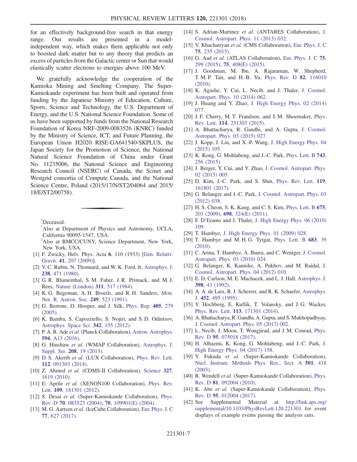for an effectively background-free search in that energy range. Our results are presented in a modelindependent way, which makes them applicable not only to boosted dark matter but to any theory that predicts an excess of particles from the Galactic center or Sun that would elastically scatter electrons to energies above 100 MeV.

We gratefully acknowledge the cooperation of the Kamioka Mining and Smelting Company. The Super-Kamiokande experiment has been built and operated from funding by the Japanese Ministry of Education, Culture, Sports, Science and Technology, the U.S. Department of Energy, and the U.S. National Science Foundation. Some of us have been supported by funds from the National Research Foundation of Korea NRF-2009-0083526 (KNRC) funded by the Ministry of Science, ICT, and Future Planning, the European Union H2020 RISE-GA641540-SKPLUS, the Japan Society for the Promotion of Science, the National Natural Science Foundation of China under Grant No. 11235006, the National Science and Engineering Research Council (NSERC) of Canada, the Scinet and Westgrid consortia of Compute Canada, and the National Science Centre, Poland (2015/17/N/ST2/04064 and 2015/ 18/E/ST2/00758).

<span id="page-6-1"></span><span id="page-6-0"></span>[\\*](#page-0-0) Deceased.

- <span id="page-6-2"></span>[†](#page-0-1) Also at Department of Physics and Astronomy, UCLA, California 90095-1547, USA.
- <span id="page-6-3"></span>[‡](#page-0-2) Also at BMCC/CUNY, Science Department, New York, New York, USA.
- [1] F. Zwicky, Helv. Phys. Acta 6, 110 (1933) [[Gen. Relativ.](https://doi.org/10.1007/s10714-008-0707-4) Gravit. 41[, 207 \(2009\)](https://doi.org/10.1007/s10714-008-0707-4)].
- [2] V. C. Rubin, N. Thonnard, and W. K. Ford, Jr, [Astrophys. J.](https://doi.org/10.1086/158003) 238[, 471 \(1980\)](https://doi.org/10.1086/158003).
- [3] G. R. Blumenthal, S. M. Faber, J. R. Primack, and M. J. Rees, [Nature \(London\)](https://doi.org/10.1038/311517a0) 311, 517 (1984).
- [4] K. G. Begeman, A. H. Broeils, and R. H. Sanders, [Mon.](https://doi.org/10.1093/mnras/249.3.523) [Not. R. Astron. Soc.](https://doi.org/10.1093/mnras/249.3.523) 249, 523 (1991).
- <span id="page-6-4"></span>[5] G. Bertone, D. Hooper, and J. Silk, [Phys. Rep.](https://doi.org/10.1016/j.physrep.2004.08.031) 405, 279 [\(2005\).](https://doi.org/10.1016/j.physrep.2004.08.031)
- <span id="page-6-5"></span>[6] K. Bamba, S. Capozziello, S. Nojiri, and S. D. Odintsov, [Astrophys. Space Sci.](https://doi.org/10.1007/s10509-012-1181-8) 342, 155 (2012).
- [7] P. A. R. Ade et al. (Planck Collaboration), [Astron. Astrophys.](https://doi.org/10.1051/0004-6361/201525830) 594[, A13 \(2016\)](https://doi.org/10.1051/0004-6361/201525830).
- <span id="page-6-6"></span>[8] G. Hinshaw et al. (WMAP Collaboration), [Astrophys. J.](https://doi.org/10.1088/0067-0049/208/2/19) Suppl. Ser. 208[, 19 \(2013\)](https://doi.org/10.1088/0067-0049/208/2/19).
- [9] D. S. Akerib et al. (LUX Collaboration), [Phys. Rev. Lett.](https://doi.org/10.1103/PhysRevLett.112.091303) 112[, 091303 \(2014\).](https://doi.org/10.1103/PhysRevLett.112.091303)
- [10] Z. Ahmed et al. (CDMS-II Collaboration), [Science](https://doi.org/10.1126/science.1186112) 327, [1619 \(2010\)](https://doi.org/10.1126/science.1186112).
- [11] E. Aprile et al. (XENON100 Collaboration), [Phys. Rev.](https://doi.org/10.1103/PhysRevLett.109.181301) Lett. 109[, 181301 \(2012\)](https://doi.org/10.1103/PhysRevLett.109.181301).
- [12] S. Desai et al. (Super-Kamiokande Collaboration), [Phys.](https://doi.org/10.1103/PhysRevD.70.083523) Rev. D 70[, 083523 \(2004\)](https://doi.org/10.1103/PhysRevD.70.083523); 70[, 109901\(E\) \(2004\)](https://doi.org/10.1103/PhysRevD.70.109901).
- [13] M. G. Aartsen et al. (IceCube Collaboration), [Eur. Phys. J. C](https://doi.org/10.1140/epjc/s10052-017-5213-y) 77[, 627 \(2017\).](https://doi.org/10.1140/epjc/s10052-017-5213-y)
- [14] S. Adrian-Martinez et al. (ANTARES Collaboration), [J.](https://doi.org/10.1088/1475-7516/2013/11/032) [Cosmol. Astropart. Phys. 11 \(2013\) 032.](https://doi.org/10.1088/1475-7516/2013/11/032)
- [15] V. Khachatryan et al. (CMS Collaboration), [Eur. Phys. J. C](https://doi.org/10.1140/epjc/s10052-015-3451-4) 75[, 235 \(2015\).](https://doi.org/10.1140/epjc/s10052-015-3451-4)
- [16] G. Aad et al. (ATLAS Collaboration), [Eur. Phys. J. C](https://doi.org/10.1140/epjc/s10052-015-3517-3) 75, [299 \(2015\)](https://doi.org/10.1140/epjc/s10052-015-3517-3); 75[, 408\(E\) \(2015\)](https://doi.org/10.1140/epjc/s10052-015-3639-7).
- [17] J. Goodman, M. Ibe, A. Rajaraman, W. Shepherd, T. M. P. Tait, and H.-B. Yu, [Phys. Rev. D](https://doi.org/10.1103/PhysRevD.82.116010) 82, 116010 [\(2010\).](https://doi.org/10.1103/PhysRevD.82.116010)
- <span id="page-6-7"></span>[18] K. Agashe, Y. Cui, L. Necib, and J. Thaler, [J. Cosmol.](https://doi.org/10.1088/1475-7516/2014/10/062) [Astropart. Phys. 10 \(2014\) 062.](https://doi.org/10.1088/1475-7516/2014/10/062)
- [19] J. Huang and Y. Zhao, [J. High Energy Phys. 02 \(2014\)](https://doi.org/10.1007/JHEP02(2014)077) [077.](https://doi.org/10.1007/JHEP02(2014)077)
- <span id="page-6-18"></span>[20] J. F. Cherry, M. T. Frandsen, and I. M. Shoemaker, [Phys.](https://doi.org/10.1103/PhysRevLett.114.231303) Rev. Lett. 114[, 231303 \(2015\).](https://doi.org/10.1103/PhysRevLett.114.231303)
- [21] A. Bhattacharya, R. Gandhi, and A. Gupta, [J. Cosmol.](https://doi.org/10.1088/1475-7516/2015/03/027) [Astropart. Phys. 03 \(2015\) 027.](https://doi.org/10.1088/1475-7516/2015/03/027)
- <span id="page-6-11"></span>[22] J. Kopp, J. Liu, and X.-P. Wang, [J. High Energy Phys. 04](https://doi.org/10.1007/JHEP04(2015)105) [\(2015\) 105.](https://doi.org/10.1007/JHEP04(2015)105)
- <span id="page-6-19"></span>[23] K. Kong, G. Mohlabeng, and J.-C. Park, [Phys. Lett. B](https://doi.org/10.1016/j.physletb.2015.02.057) 743, [256 \(2015\)](https://doi.org/10.1016/j.physletb.2015.02.057).
- <span id="page-6-13"></span>[24] J. Berger, Y. Cui, and Y. Zhao, [J. Cosmol. Astropart. Phys.](https://doi.org/10.1088/1475-7516/2015/02/005) [02 \(2015\) 005.](https://doi.org/10.1088/1475-7516/2015/02/005)
- [25] D. Kim, J.-C. Park, and S. Shin, [Phys. Rev. Lett.](https://doi.org/10.1103/PhysRevLett.119.161801) 119, [161801 \(2017\).](https://doi.org/10.1103/PhysRevLett.119.161801)
- <span id="page-6-8"></span>[26] G. Belanger and J.-C. Park, [J. Cosmol. Astropart. Phys. 03](https://doi.org/10.1088/1475-7516/2012/03/038) [\(2012\) 038.](https://doi.org/10.1088/1475-7516/2012/03/038)
- [27] H. S. Cheon, S. K. Kang, and C. S. Kim, *[Phys. Lett. B](https://doi.org/10.1016/j.physletb.2009.03.083)* 675, [203 \(2009\)](https://doi.org/10.1016/j.physletb.2009.03.083); 698[, 324\(E\) \(2011\)](https://doi.org/10.1016/j.physleta.2010.11.021).
- <span id="page-6-9"></span>[28] F. D'Eramo and J. Thaler, [J. High Energy Phys. 06 \(2010\)](https://doi.org/10.1007/JHEP06(2010)109) [109.](https://doi.org/10.1007/JHEP06(2010)109)
- [29] T. Hambye, [J. High Energy Phys. 01 \(2009\) 028.](https://doi.org/10.1088/1126-6708/2009/01/028)
- [30] T. Hambye and M. H. G. Tytgat, [Phys. Lett. B](https://doi.org/10.1016/j.physletb.2009.11.050) 683, 39 [\(2010\).](https://doi.org/10.1016/j.physletb.2009.11.050)
- [31] C. Arina, T. Hambye, A. Ibarra, and C. Weniger, [J. Cosmol.](https://doi.org/10.1088/1475-7516/2010/03/024) [Astropart. Phys. 03 \(2010\) 024.](https://doi.org/10.1088/1475-7516/2010/03/024)
- [32] G. Belanger, K. Kannike, A. Pukhov, and M. Raidal, [J.](https://doi.org/10.1088/1475-7516/2012/04/010) [Cosmol. Astropart. Phys. 04 \(2012\) 010.](https://doi.org/10.1088/1475-7516/2012/04/010)
- <span id="page-6-10"></span>[33] E. D. Carlson, M. E. Machacek, and L. J. Hall, [Astrophys. J.](https://doi.org/10.1086/171833) 398[, 43 \(1992\).](https://doi.org/10.1086/171833)
- [34] A. A. de Laix, R. J. Scherrer, and R. K. Schaefer, [Astrophys.](https://doi.org/10.1086/176322) J. 452[, 495 \(1995\).](https://doi.org/10.1086/176322)
- [35] Y. Hochberg, E. Kuflik, T. Volansky, and J. G. Wacker, Phys. Rev. Lett. 113[, 171301 \(2014\).](https://doi.org/10.1103/PhysRevLett.113.171301)
- [36] A. Bhattacharya, R. Gandhi, A. Gupta, and S. Mukhopadhyay, [J. Cosmol. Astropart. Phys. 05 \(2017\) 002.](https://doi.org/10.1088/1475-7516/2017/05/002)
- <span id="page-6-12"></span>[37] L. Necib, J. Moon, T. Wongjirad, and J. M. Conrad, [Phys.](https://doi.org/10.1103/PhysRevD.95.075018) Rev. D 95[, 075018 \(2017\)](https://doi.org/10.1103/PhysRevD.95.075018).
- [38] H. Alhazmi, K. Kong, G. Mohlabeng, and J.-C. Park, [J.](https://doi.org/10.1007/JHEP04(2017)158) [High Energy Phys. 04 \(2017\) 158.](https://doi.org/10.1007/JHEP04(2017)158)
- <span id="page-6-14"></span>[39] Y. Fukuda et al. (Super-Kamiokande Collaboration), [Nucl. Instrum. Methods Phys. Res., Sect. A](https://doi.org/10.1016/S0168-9002(03)00425-X) 501, 418 [\(2003\).](https://doi.org/10.1016/S0168-9002(03)00425-X)
- <span id="page-6-15"></span>[40] R. Wendell et al. (Super-Kamiokande Collaboration), [Phys.](https://doi.org/10.1103/PhysRevD.81.092004) Rev. D 81[, 092004 \(2010\)](https://doi.org/10.1103/PhysRevD.81.092004).
- <span id="page-6-17"></span><span id="page-6-16"></span>[41] K. Abe et al. (Super-Kamiokande Collaboration), [Phys.](https://doi.org/10.1103/PhysRevD.95.012004) Rev. D 95[, 012004 \(2017\)](https://doi.org/10.1103/PhysRevD.95.012004).
- [42] See Supplemental Material at [http://link.aps.org/](http://link.aps.org/supplemental/10.1103/PhysRevLett.120.221301) [supplemental/10.1103/PhysRevLett.120.221301](http://link.aps.org/supplemental/10.1103/PhysRevLett.120.221301) for event displays of example events passing the analysis cuts.